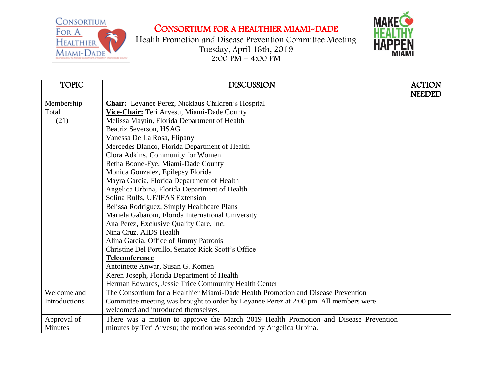CONSORTIUM FOR A HEALTHIER MIAMI-DADE



Health Promotion and Disease Prevention Committee Meeting Tuesday, April 16th, 2019  $2:00 \text{ P}M - 4:00 \text{ P}M$ 



| <b>TOPIC</b>  | <b>DISCUSSION</b>                                                                    | <b>ACTION</b> |
|---------------|--------------------------------------------------------------------------------------|---------------|
|               |                                                                                      | <b>NEEDED</b> |
| Membership    | <b>Chair:</b> Leyanee Perez, Nicklaus Children's Hospital                            |               |
| Total         | Vice-Chair: Teri Arvesu, Miami-Dade County                                           |               |
| (21)          | Melissa Maytin, Florida Department of Health                                         |               |
|               | Beatriz Severson, HSAG                                                               |               |
|               | Vanessa De La Rosa, Flipany                                                          |               |
|               | Mercedes Blanco, Florida Department of Health                                        |               |
|               | Clora Adkins, Community for Women                                                    |               |
|               | Retha Boone-Fye, Miami-Dade County                                                   |               |
|               | Monica Gonzalez, Epilepsy Florida                                                    |               |
|               | Mayra Garcia, Florida Department of Health                                           |               |
|               | Angelica Urbina, Florida Department of Health                                        |               |
|               | Solina Rulfs, UF/IFAS Extension                                                      |               |
|               | Belissa Rodriguez, Simply Healthcare Plans                                           |               |
|               | Mariela Gabaroni, Florida International University                                   |               |
|               | Ana Perez, Exclusive Quality Care, Inc.                                              |               |
|               | Nina Cruz, AIDS Health                                                               |               |
|               | Alina Garcia, Office of Jimmy Patronis                                               |               |
|               | Christine Del Portillo, Senator Rick Scott's Office                                  |               |
|               | <b>Teleconference</b>                                                                |               |
|               | Antoinette Anwar, Susan G. Komen                                                     |               |
|               | Keren Joseph, Florida Department of Health                                           |               |
|               | Herman Edwards, Jessie Trice Community Health Center                                 |               |
| Welcome and   | The Consortium for a Healthier Miami-Dade Health Promotion and Disease Prevention    |               |
| Introductions | Committee meeting was brought to order by Leyanee Perez at 2:00 pm. All members were |               |
|               | welcomed and introduced themselves.                                                  |               |
| Approval of   | There was a motion to approve the March 2019 Health Promotion and Disease Prevention |               |
| Minutes       | minutes by Teri Arvesu; the motion was seconded by Angelica Urbina.                  |               |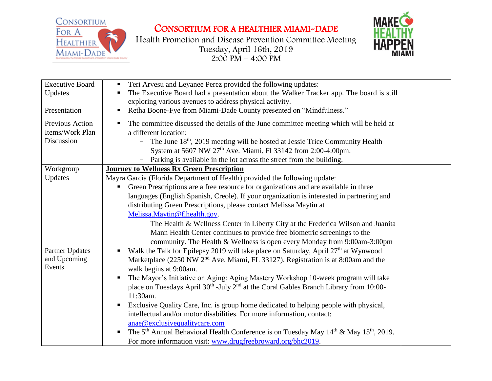

CONSORTIUM FOR A HEALTHIER MIAMI-DADE

Health Promotion and Disease Prevention Committee Meeting Tuesday, April 16th, 2019  $2:00 \text{ P}M - 4:00 \text{ P}M$ 



| <b>Executive Board</b> | Teri Arvesu and Leyanee Perez provided the following updates:<br>$\blacksquare$                               |  |
|------------------------|---------------------------------------------------------------------------------------------------------------|--|
| Updates                | The Executive Board had a presentation about the Walker Tracker app. The board is still                       |  |
|                        | exploring various avenues to address physical activity.                                                       |  |
| Presentation           | Retha Boone-Fye from Miami-Dade County presented on "Mindfulness."<br>$\blacksquare$                          |  |
| Previous Action        | The committee discussed the details of the June committee meeting which will be held at<br>$\blacksquare$     |  |
| Items/Work Plan        | a different location:                                                                                         |  |
| Discussion             | - The June 18 <sup>th</sup> , 2019 meeting will be hosted at Jessie Trice Community Health                    |  |
|                        | System at 5607 NW 27 <sup>th</sup> Ave. Miami, Fl 33142 from 2:00-4:00pm.                                     |  |
|                        | Parking is available in the lot across the street from the building.                                          |  |
| Workgroup              | <b>Journey to Wellness Rx Green Prescription</b>                                                              |  |
| Updates                | Mayra Garcia (Florida Department of Health) provided the following update:                                    |  |
|                        | Green Prescriptions are a free resource for organizations and are available in three<br>п.                    |  |
|                        | languages (English Spanish, Creole). If your organization is interested in partnering and                     |  |
|                        | distributing Green Prescriptions, please contact Melissa Maytin at                                            |  |
|                        | Melissa.Maytin@flhealth.gov.                                                                                  |  |
|                        | - The Health & Wellness Center in Liberty City at the Frederica Wilson and Juanita                            |  |
|                        | Mann Health Center continues to provide free biometric screenings to the                                      |  |
|                        | community. The Health & Wellness is open every Monday from 9:00am-3:00pm                                      |  |
| Partner Updates        | Walk the Talk for Epilepsy 2019 will take place on Saturday, April 27 <sup>th</sup> at Wynwood                |  |
| and Upcoming           | Marketplace (2250 NW 2 <sup>nd</sup> Ave. Miami, FL 33127). Registration is at 8:00am and the                 |  |
| Events                 | walk begins at 9:00am.                                                                                        |  |
|                        | The Mayor's Initiative on Aging: Aging Mastery Workshop 10-week program will take                             |  |
|                        | place on Tuesdays April 30 <sup>th</sup> -July 2 <sup>nd</sup> at the Coral Gables Branch Library from 10:00- |  |
|                        | 11:30am.                                                                                                      |  |
|                        | Exclusive Quality Care, Inc. is group home dedicated to helping people with physical,<br>п                    |  |
|                        | intellectual and/or motor disabilities. For more information, contact:                                        |  |
|                        | anae@exclusivequalitycare.com                                                                                 |  |
|                        | The 5 <sup>th</sup> Annual Behavioral Health Conference is on Tuesday May $14th$ & May $15th$ , 2019.         |  |
|                        | For more information visit: www.drugfreebroward.org/bhc2019.                                                  |  |